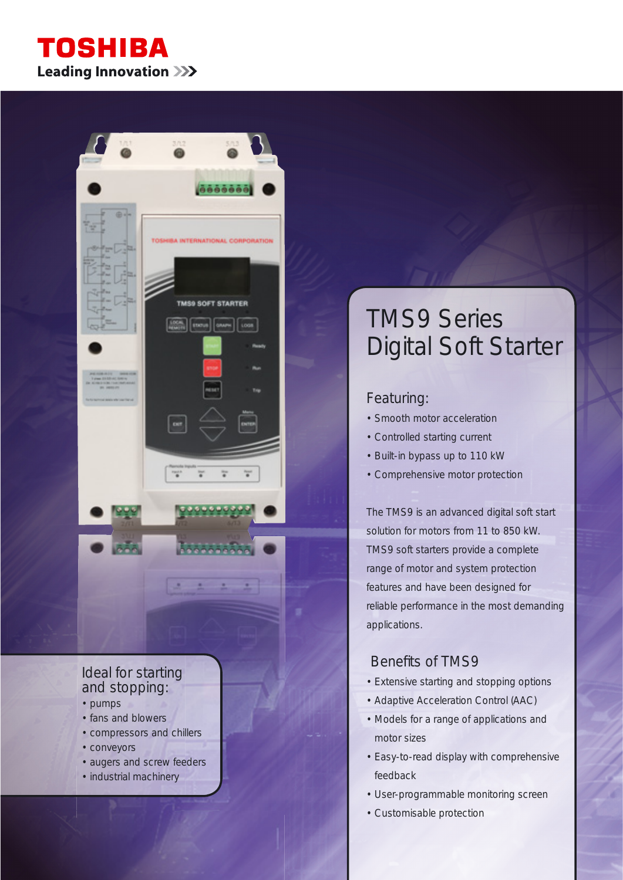## **TOSHIBA Leading Innovation >>>**

 $0.5550$ 

**BA INTERNATIONAL CORPORATION** 

TMS9 SOFT STARTER

 $\begin{bmatrix} 0 & 0 & 0 \\ 0 & 0 & 0 \\ 0 & 0 & 0 \end{bmatrix} \begin{bmatrix} 0 & 0 & 0 \\ 0 & 0 & 0 \\ 0 & 0 & 0 \end{bmatrix} \begin{bmatrix} 0 & 0 & 0 \\ 0 & 0 & 0 \\ 0 & 0 & 0 \end{bmatrix}$ 

ż

## Ideal for starting and stopping:

- pumps
- fans and blowers
- compressors and chillers
- conveyors
- augers and screw feeders
- industrial machinery

# TMS9 Series Digital Soft Starter

## Featuring:

- Smooth motor acceleration
- Controlled starting current
- Built-in bypass up to 110 kW
- Comprehensive motor protection

The TMS9 is an advanced digital soft start solution for motors from 11 to 850 kW. TMS9 soft starters provide a complete range of motor and system protection features and have been designed for reliable performance in the most demanding applications.

### Benefits of TMS9

- Extensive starting and stopping options
- Adaptive Acceleration Control (AAC)
- Models for a range of applications and motor sizes
- Easy-to-read display with comprehensive feedback
- User-programmable monitoring screen
- Customisable protection